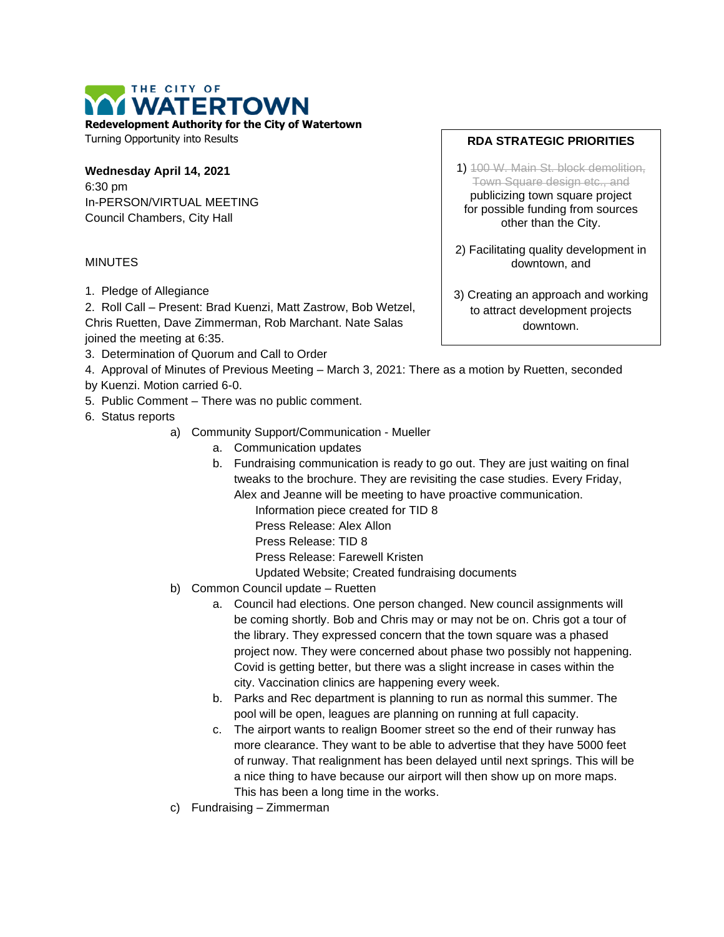THE CITY OF VATERTOWN

**Redevelopment Authority for the City of Watertown**

Turning Opportunity into Results

**Wednesday April 14, 2021** 6:30 pm In-PERSON/VIRTUAL MEETING Council Chambers, City Hall

## MINUTES

1. Pledge of Allegiance

2. Roll Call – Present: Brad Kuenzi, Matt Zastrow, Bob Wetzel, Chris Ruetten, Dave Zimmerman, Rob Marchant. Nate Salas joined the meeting at 6:35.

- 3. Determination of Quorum and Call to Order
- 4. Approval of Minutes of Previous Meeting March 3, 2021: There as a motion by Ruetten, seconded
- by Kuenzi. Motion carried 6-0.
- 5. Public Comment There was no public comment.
- 6. Status reports
	- a) Community Support/Communication Mueller
		- a. Communication updates
		- b. Fundraising communication is ready to go out. They are just waiting on final tweaks to the brochure. They are revisiting the case studies. Every Friday, Alex and Jeanne will be meeting to have proactive communication.

Information piece created for TID 8

Press Release: Alex Allon

Press Release: TID 8

Press Release: Farewell Kristen

Updated Website; Created fundraising documents

- b) Common Council update Ruetten
	- a. Council had elections. One person changed. New council assignments will be coming shortly. Bob and Chris may or may not be on. Chris got a tour of the library. They expressed concern that the town square was a phased project now. They were concerned about phase two possibly not happening. Covid is getting better, but there was a slight increase in cases within the city. Vaccination clinics are happening every week.
	- b. Parks and Rec department is planning to run as normal this summer. The pool will be open, leagues are planning on running at full capacity.
	- c. The airport wants to realign Boomer street so the end of their runway has more clearance. They want to be able to advertise that they have 5000 feet of runway. That realignment has been delayed until next springs. This will be a nice thing to have because our airport will then show up on more maps. This has been a long time in the works.
- c) Fundraising Zimmerman

## **RDA STRATEGIC PRIORITIES**

1) 100 W. Main St. block demolition, Town Square design etc., and publicizing town square project for possible funding from sources other than the City.

2) Facilitating quality development in downtown, and

3) Creating an approach and working to attract development projects downtown.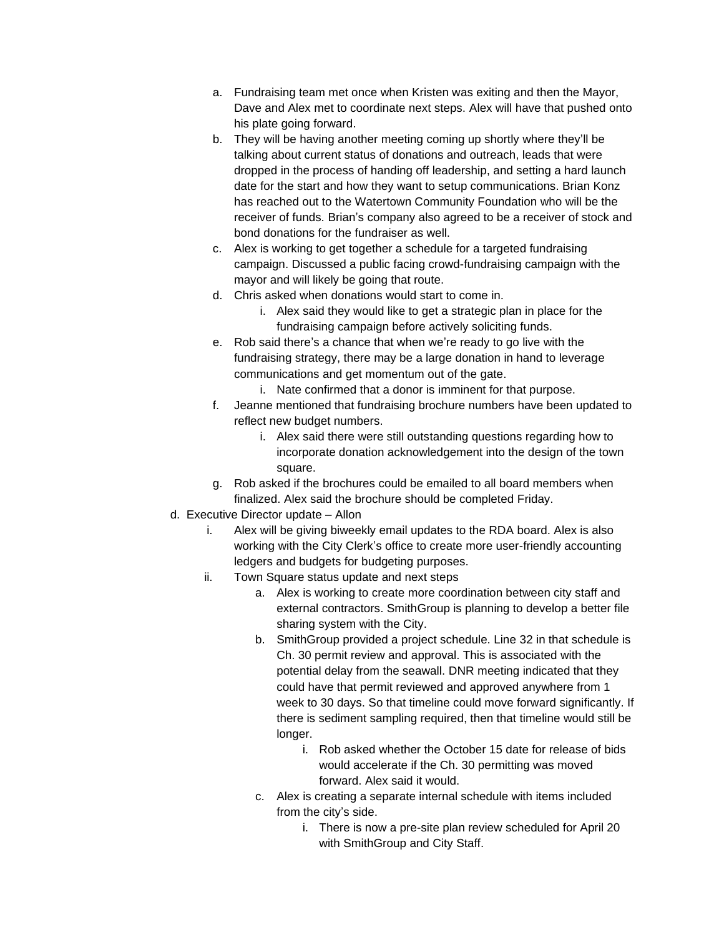- a. Fundraising team met once when Kristen was exiting and then the Mayor, Dave and Alex met to coordinate next steps. Alex will have that pushed onto his plate going forward.
- b. They will be having another meeting coming up shortly where they'll be talking about current status of donations and outreach, leads that were dropped in the process of handing off leadership, and setting a hard launch date for the start and how they want to setup communications. Brian Konz has reached out to the Watertown Community Foundation who will be the receiver of funds. Brian's company also agreed to be a receiver of stock and bond donations for the fundraiser as well.
- c. Alex is working to get together a schedule for a targeted fundraising campaign. Discussed a public facing crowd-fundraising campaign with the mayor and will likely be going that route.
- d. Chris asked when donations would start to come in.
	- i. Alex said they would like to get a strategic plan in place for the fundraising campaign before actively soliciting funds.
- e. Rob said there's a chance that when we're ready to go live with the fundraising strategy, there may be a large donation in hand to leverage communications and get momentum out of the gate.
	- i. Nate confirmed that a donor is imminent for that purpose.
- f. Jeanne mentioned that fundraising brochure numbers have been updated to reflect new budget numbers.
	- i. Alex said there were still outstanding questions regarding how to incorporate donation acknowledgement into the design of the town square.
- g. Rob asked if the brochures could be emailed to all board members when finalized. Alex said the brochure should be completed Friday.
- d. Executive Director update Allon
	- i. Alex will be giving biweekly email updates to the RDA board. Alex is also working with the City Clerk's office to create more user-friendly accounting ledgers and budgets for budgeting purposes.
	- ii. Town Square status update and next steps
		- a. Alex is working to create more coordination between city staff and external contractors. SmithGroup is planning to develop a better file sharing system with the City.
		- b. SmithGroup provided a project schedule. Line 32 in that schedule is Ch. 30 permit review and approval. This is associated with the potential delay from the seawall. DNR meeting indicated that they could have that permit reviewed and approved anywhere from 1 week to 30 days. So that timeline could move forward significantly. If there is sediment sampling required, then that timeline would still be longer.
			- i. Rob asked whether the October 15 date for release of bids would accelerate if the Ch. 30 permitting was moved forward. Alex said it would.
		- c. Alex is creating a separate internal schedule with items included from the city's side.
			- i. There is now a pre-site plan review scheduled for April 20 with SmithGroup and City Staff.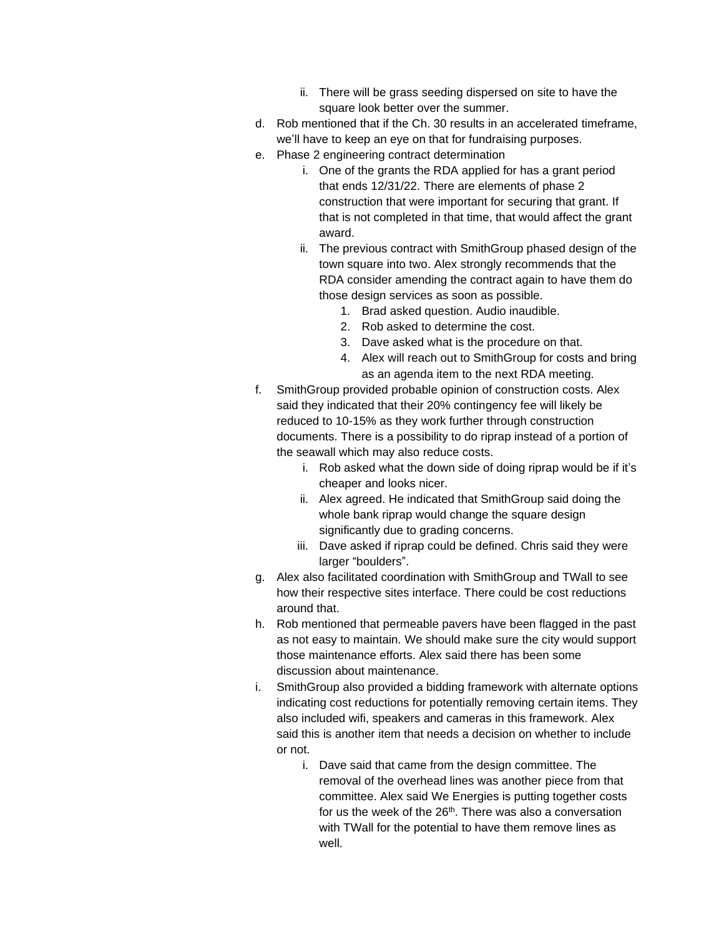- ii. There will be grass seeding dispersed on site to have the square look better over the summer.
- d. Rob mentioned that if the Ch. 30 results in an accelerated timeframe, we'll have to keep an eye on that for fundraising purposes.
- e. Phase 2 engineering contract determination
	- i. One of the grants the RDA applied for has a grant period that ends 12/31/22. There are elements of phase 2 construction that were important for securing that grant. If that is not completed in that time, that would affect the grant award.
	- ii. The previous contract with SmithGroup phased design of the town square into two. Alex strongly recommends that the RDA consider amending the contract again to have them do those design services as soon as possible.
		- 1. Brad asked question. Audio inaudible.
		- 2. Rob asked to determine the cost.
		- 3. Dave asked what is the procedure on that.
		- 4. Alex will reach out to SmithGroup for costs and bring as an agenda item to the next RDA meeting.
- f. SmithGroup provided probable opinion of construction costs. Alex said they indicated that their 20% contingency fee will likely be reduced to 10-15% as they work further through construction documents. There is a possibility to do riprap instead of a portion of the seawall which may also reduce costs.
	- i. Rob asked what the down side of doing riprap would be if it's cheaper and looks nicer.
	- ii. Alex agreed. He indicated that SmithGroup said doing the whole bank riprap would change the square design significantly due to grading concerns.
	- iii. Dave asked if riprap could be defined. Chris said they were larger "boulders".
- g. Alex also facilitated coordination with SmithGroup and TWall to see how their respective sites interface. There could be cost reductions around that.
- h. Rob mentioned that permeable pavers have been flagged in the past as not easy to maintain. We should make sure the city would support those maintenance efforts. Alex said there has been some discussion about maintenance.
- i. SmithGroup also provided a bidding framework with alternate options indicating cost reductions for potentially removing certain items. They also included wifi, speakers and cameras in this framework. Alex said this is another item that needs a decision on whether to include or not.
	- i. Dave said that came from the design committee. The removal of the overhead lines was another piece from that committee. Alex said We Energies is putting together costs for us the week of the 26<sup>th</sup>. There was also a conversation with TWall for the potential to have them remove lines as well.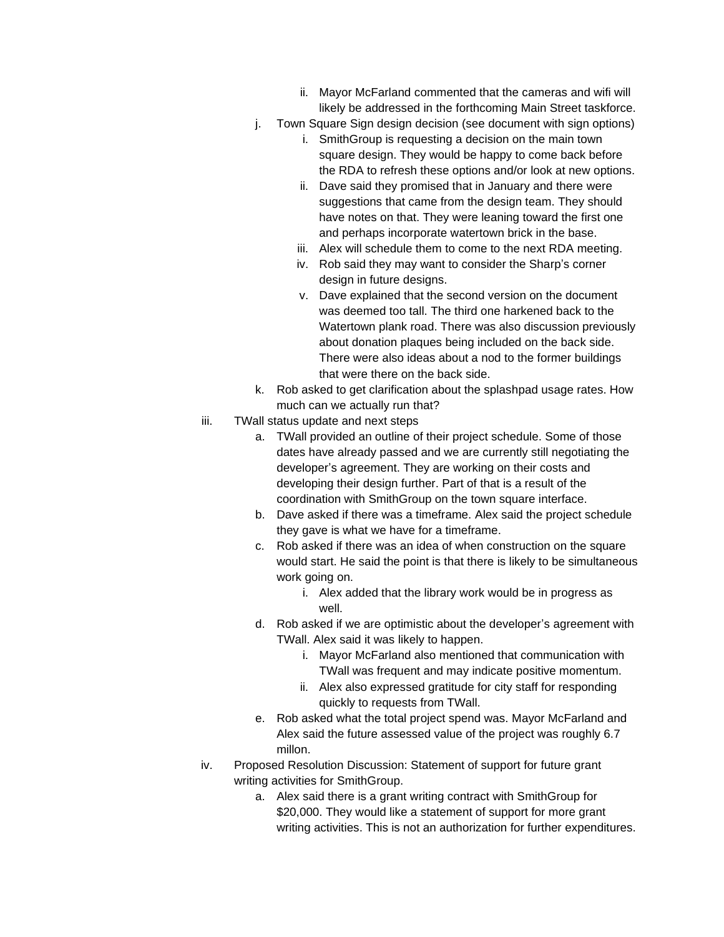- ii. Mayor McFarland commented that the cameras and wifi will likely be addressed in the forthcoming Main Street taskforce.
- j. Town Square Sign design decision (see document with sign options)
	- i. SmithGroup is requesting a decision on the main town square design. They would be happy to come back before the RDA to refresh these options and/or look at new options.
		- ii. Dave said they promised that in January and there were suggestions that came from the design team. They should have notes on that. They were leaning toward the first one and perhaps incorporate watertown brick in the base.
	- iii. Alex will schedule them to come to the next RDA meeting.
	- iv. Rob said they may want to consider the Sharp's corner design in future designs.
	- v. Dave explained that the second version on the document was deemed too tall. The third one harkened back to the Watertown plank road. There was also discussion previously about donation plaques being included on the back side. There were also ideas about a nod to the former buildings that were there on the back side.
- k. Rob asked to get clarification about the splashpad usage rates. How much can we actually run that?
- iii. TWall status update and next steps
	- a. TWall provided an outline of their project schedule. Some of those dates have already passed and we are currently still negotiating the developer's agreement. They are working on their costs and developing their design further. Part of that is a result of the coordination with SmithGroup on the town square interface.
	- b. Dave asked if there was a timeframe. Alex said the project schedule they gave is what we have for a timeframe.
	- c. Rob asked if there was an idea of when construction on the square would start. He said the point is that there is likely to be simultaneous work going on.
		- i. Alex added that the library work would be in progress as well.
	- d. Rob asked if we are optimistic about the developer's agreement with TWall. Alex said it was likely to happen.
		- i. Mayor McFarland also mentioned that communication with TWall was frequent and may indicate positive momentum.
		- ii. Alex also expressed gratitude for city staff for responding quickly to requests from TWall.
	- e. Rob asked what the total project spend was. Mayor McFarland and Alex said the future assessed value of the project was roughly 6.7 millon.
- iv. Proposed Resolution Discussion: Statement of support for future grant writing activities for SmithGroup.
	- a. Alex said there is a grant writing contract with SmithGroup for \$20,000. They would like a statement of support for more grant writing activities. This is not an authorization for further expenditures.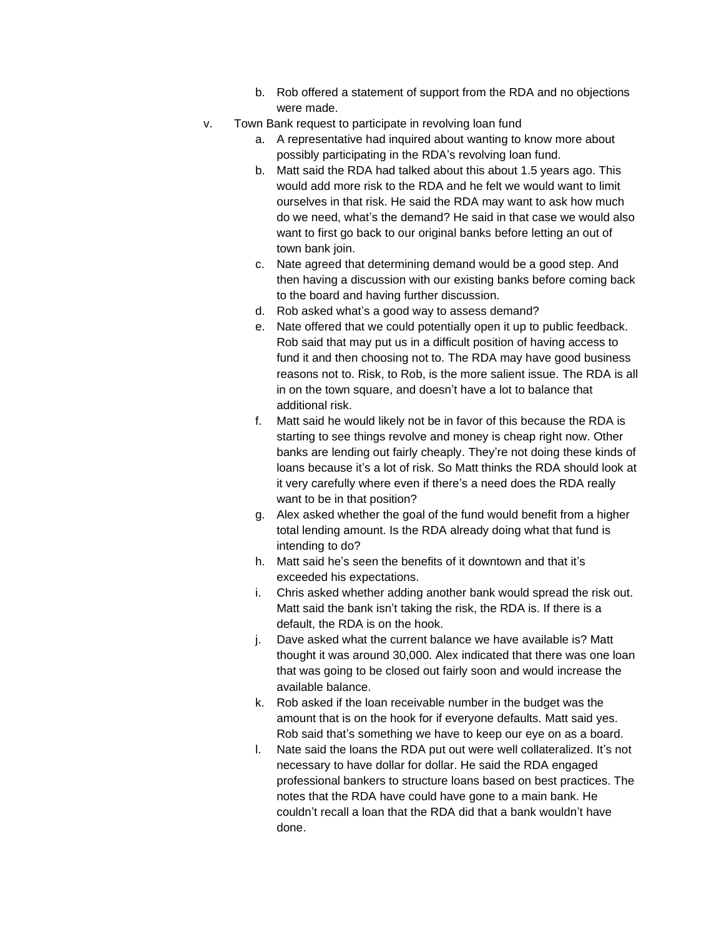- b. Rob offered a statement of support from the RDA and no objections were made.
- v. Town Bank request to participate in revolving loan fund
	- a. A representative had inquired about wanting to know more about possibly participating in the RDA's revolving loan fund.
	- b. Matt said the RDA had talked about this about 1.5 years ago. This would add more risk to the RDA and he felt we would want to limit ourselves in that risk. He said the RDA may want to ask how much do we need, what's the demand? He said in that case we would also want to first go back to our original banks before letting an out of town bank join.
	- c. Nate agreed that determining demand would be a good step. And then having a discussion with our existing banks before coming back to the board and having further discussion.
	- d. Rob asked what's a good way to assess demand?
	- e. Nate offered that we could potentially open it up to public feedback. Rob said that may put us in a difficult position of having access to fund it and then choosing not to. The RDA may have good business reasons not to. Risk, to Rob, is the more salient issue. The RDA is all in on the town square, and doesn't have a lot to balance that additional risk.
	- f. Matt said he would likely not be in favor of this because the RDA is starting to see things revolve and money is cheap right now. Other banks are lending out fairly cheaply. They're not doing these kinds of loans because it's a lot of risk. So Matt thinks the RDA should look at it very carefully where even if there's a need does the RDA really want to be in that position?
	- g. Alex asked whether the goal of the fund would benefit from a higher total lending amount. Is the RDA already doing what that fund is intending to do?
	- h. Matt said he's seen the benefits of it downtown and that it's exceeded his expectations.
	- i. Chris asked whether adding another bank would spread the risk out. Matt said the bank isn't taking the risk, the RDA is. If there is a default, the RDA is on the hook.
	- j. Dave asked what the current balance we have available is? Matt thought it was around 30,000. Alex indicated that there was one loan that was going to be closed out fairly soon and would increase the available balance.
	- k. Rob asked if the loan receivable number in the budget was the amount that is on the hook for if everyone defaults. Matt said yes. Rob said that's something we have to keep our eye on as a board.
	- l. Nate said the loans the RDA put out were well collateralized. It's not necessary to have dollar for dollar. He said the RDA engaged professional bankers to structure loans based on best practices. The notes that the RDA have could have gone to a main bank. He couldn't recall a loan that the RDA did that a bank wouldn't have done.